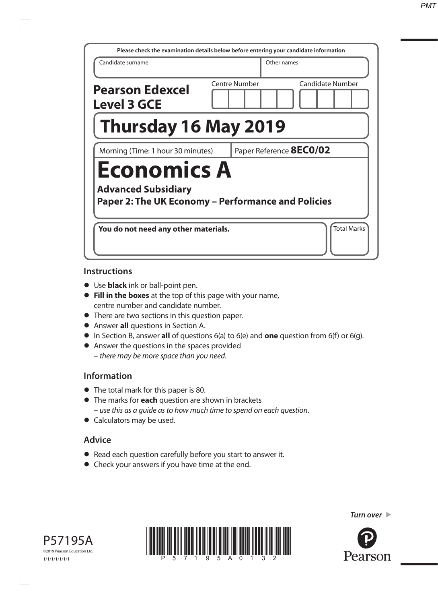| Please check the examination details below before entering your candidate information<br>Candidate surname<br>Other names<br><b>Centre Number</b><br><b>Candidate Number</b><br><b>Pearson Edexcel</b><br><b>Level 3 GCE</b><br><b>Thursday 16 May 2019</b><br>Paper Reference <b>8EC0/02</b><br>Morning (Time: 1 hour 30 minutes)<br><b>Economics A</b><br><b>Advanced Subsidiary</b><br><b>Paper 2: The UK Economy - Performance and Policies</b><br><b>Total Marks</b><br>You do not need any other materials. |  |  |  |  |  |
|-------------------------------------------------------------------------------------------------------------------------------------------------------------------------------------------------------------------------------------------------------------------------------------------------------------------------------------------------------------------------------------------------------------------------------------------------------------------------------------------------------------------|--|--|--|--|--|
|                                                                                                                                                                                                                                                                                                                                                                                                                                                                                                                   |  |  |  |  |  |
|                                                                                                                                                                                                                                                                                                                                                                                                                                                                                                                   |  |  |  |  |  |
|                                                                                                                                                                                                                                                                                                                                                                                                                                                                                                                   |  |  |  |  |  |
|                                                                                                                                                                                                                                                                                                                                                                                                                                                                                                                   |  |  |  |  |  |
|                                                                                                                                                                                                                                                                                                                                                                                                                                                                                                                   |  |  |  |  |  |
|                                                                                                                                                                                                                                                                                                                                                                                                                                                                                                                   |  |  |  |  |  |
|                                                                                                                                                                                                                                                                                                                                                                                                                                                                                                                   |  |  |  |  |  |
|                                                                                                                                                                                                                                                                                                                                                                                                                                                                                                                   |  |  |  |  |  |
|                                                                                                                                                                                                                                                                                                                                                                                                                                                                                                                   |  |  |  |  |  |
|                                                                                                                                                                                                                                                                                                                                                                                                                                                                                                                   |  |  |  |  |  |
|                                                                                                                                                                                                                                                                                                                                                                                                                                                                                                                   |  |  |  |  |  |
|                                                                                                                                                                                                                                                                                                                                                                                                                                                                                                                   |  |  |  |  |  |
|                                                                                                                                                                                                                                                                                                                                                                                                                                                                                                                   |  |  |  |  |  |
|                                                                                                                                                                                                                                                                                                                                                                                                                                                                                                                   |  |  |  |  |  |
|                                                                                                                                                                                                                                                                                                                                                                                                                                                                                                                   |  |  |  |  |  |
|                                                                                                                                                                                                                                                                                                                                                                                                                                                                                                                   |  |  |  |  |  |
|                                                                                                                                                                                                                                                                                                                                                                                                                                                                                                                   |  |  |  |  |  |
|                                                                                                                                                                                                                                                                                                                                                                                                                                                                                                                   |  |  |  |  |  |
|                                                                                                                                                                                                                                                                                                                                                                                                                                                                                                                   |  |  |  |  |  |

### **Instructions**

- **•** Use **black** ink or ball-point pen.
- **• Fill in the boxes** at the top of this page with your name, centre number and candidate number.
- **•** There are two sections in this question paper.
- **•** Answer **all** questions in Section A.
- **•** In Section B, answer **all** of questions 6(a) to 6(e) and **one** question from 6(f) or 6(g).
- **•** Answer the questions in the spaces provided

– *there may be more space than you need*.

## **Information**

- **•** The total mark for this paper is 80.
- **•** The marks for **each** question are shown in brackets – *use this as a guide as to how much time to spend on each question*.
- **•** Calculators may be used.

## **Advice**

- **•** Read each question carefully before you start to answer it.
- **•** Check your answers if you have time at the end.





*Turn over* 

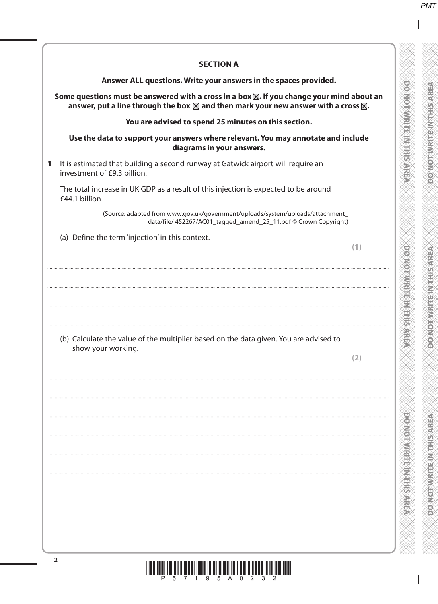| <b>SECTION A</b>                                                                                                                                                                                                |                  |
|-----------------------------------------------------------------------------------------------------------------------------------------------------------------------------------------------------------------|------------------|
| Answer ALL questions. Write your answers in the spaces provided.                                                                                                                                                |                  |
| Some questions must be answered with a cross in a box $\boxtimes$ . If you change your mind about an<br>answer, put a line through the box $\boxtimes$ and then mark your new answer with a cross $\boxtimes$ . |                  |
| You are advised to spend 25 minutes on this section.                                                                                                                                                            |                  |
| Use the data to support your answers where relevant. You may annotate and include<br>diagrams in your answers.                                                                                                  |                  |
| It is estimated that building a second runway at Gatwick airport will require an<br>investment of £9.3 billion.                                                                                                 |                  |
| The total increase in UK GDP as a result of this injection is expected to be around<br>£44.1 billion.                                                                                                           |                  |
| (Source: adapted from www.gov.uk/government/uploads/system/uploads/attachment_<br>data/file/ 452267/AC01_tagged_amend_25_11.pdf © Crown Copyright)                                                              |                  |
| (a) Define the term 'injection' in this context.<br>(1)                                                                                                                                                         |                  |
|                                                                                                                                                                                                                 |                  |
|                                                                                                                                                                                                                 | <b>CONNECTED</b> |
|                                                                                                                                                                                                                 |                  |
|                                                                                                                                                                                                                 |                  |
| (b) Calculate the value of the multiplier based on the data given. You are advised to<br>show your working.<br>(2)                                                                                              |                  |
|                                                                                                                                                                                                                 |                  |
|                                                                                                                                                                                                                 |                  |
|                                                                                                                                                                                                                 |                  |
|                                                                                                                                                                                                                 |                  |
|                                                                                                                                                                                                                 |                  |
|                                                                                                                                                                                                                 |                  |
|                                                                                                                                                                                                                 |                  |
|                                                                                                                                                                                                                 |                  |
|                                                                                                                                                                                                                 |                  |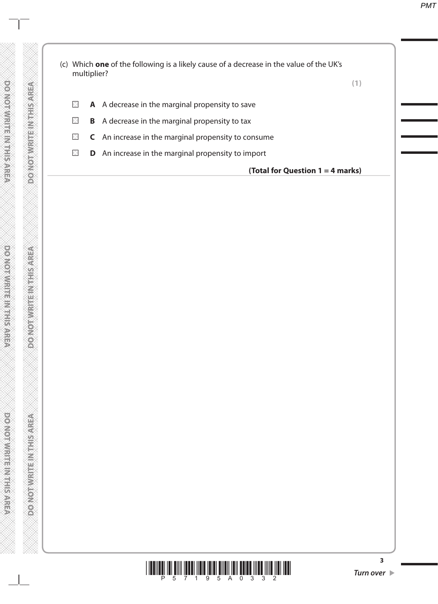(c) Which **one** of the following is a likely cause of a decrease in the value of the UK's multiplier? **(1)**  $\geq$ **A** A decrease in the marginal propensity to save **B** A decrease in the marginal propensity to tax  $\mathbb{X}$ **C** An increase in the marginal propensity to consume  $\mathbb{X}$  $\mathbb{X}$ **D** An increase in the marginal propensity to import **(Total for Question 1 = 4 marks)**

DONOI WRITE IN THIS ARE!

**DONONWRHEIMS HIS AREA** 

**DONOTWRITE INTHIS AREA** 

**DOMORATE IN THE SALE** 

**DOMORVIRIE INTHS?AREA** 

**BOXORNISHEIGHCO**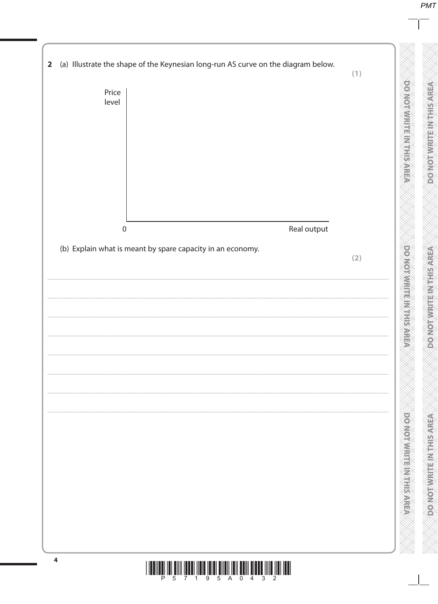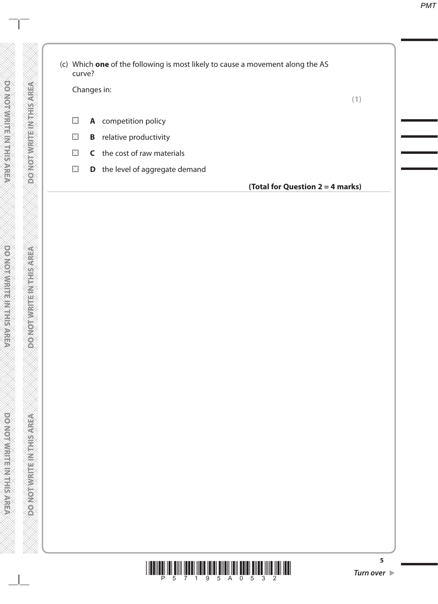|             | curve?<br>Changes in: |                                  |     |
|-------------|-----------------------|----------------------------------|-----|
|             |                       |                                  | (1) |
| $\times$    |                       | A competition policy             |     |
| $\times$    | B                     | relative productivity            |     |
| $\boxtimes$ |                       | C the cost of raw materials      |     |
| $\times$    |                       | D the level of aggregate demand  |     |
|             |                       | (Total for Question 2 = 4 marks) |     |
|             |                       |                                  |     |
|             |                       |                                  |     |
|             |                       |                                  |     |
|             |                       |                                  |     |
|             |                       |                                  |     |
|             |                       |                                  |     |
|             |                       |                                  |     |
|             |                       |                                  |     |
|             |                       |                                  |     |
|             |                       |                                  |     |
|             |                       |                                  |     |
|             |                       |                                  |     |
|             |                       |                                  |     |
|             |                       |                                  |     |
|             |                       |                                  |     |
|             |                       |                                  |     |
|             |                       |                                  |     |
|             |                       |                                  |     |
|             |                       |                                  |     |
|             |                       |                                  |     |
|             |                       |                                  |     |
|             |                       |                                  |     |
|             |                       |                                  |     |
|             |                       |                                  |     |
|             |                       |                                  |     |
|             |                       |                                  |     |

 $\overline{\phantom{a}}$ 

**DONOTIVIRIUS INSTRUMENT** 

**DO NOTIVE HERRICH STATES** 

DO NOT WRITE IN THIS AREA

e de la famílie de la famílie de la famílie de la famílie de la famílie de la famílie de la famílie de la famí<br>Traduzione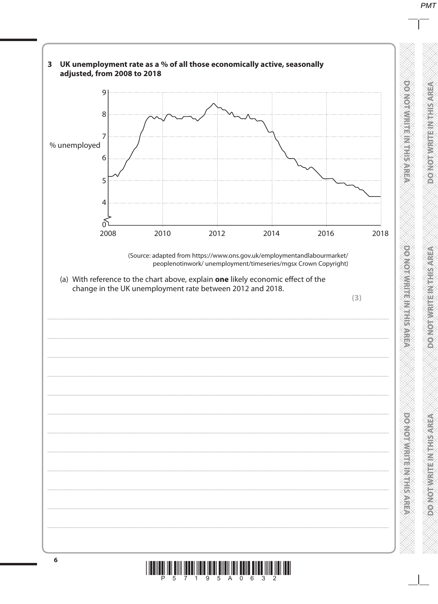

7 1 9 5 A 0 6 3 2

 $\overline{5}$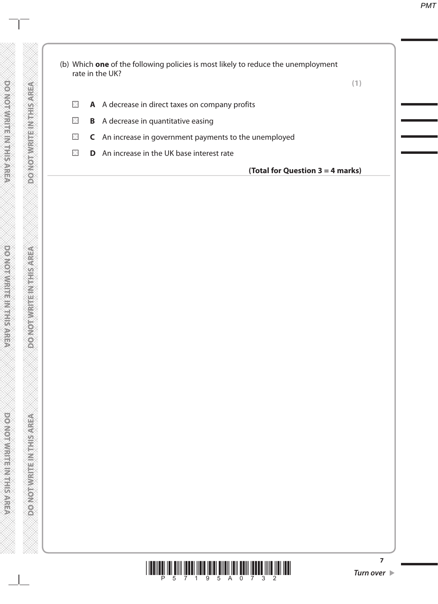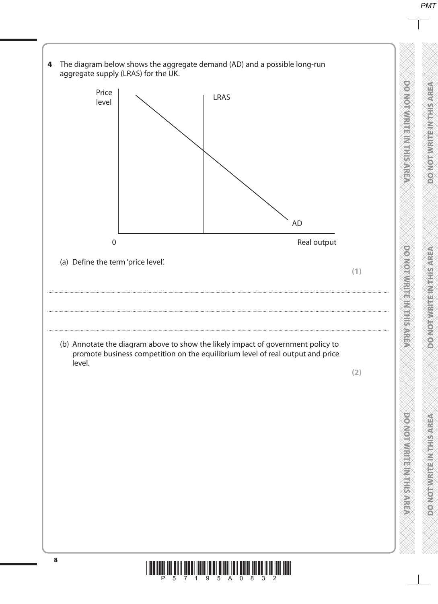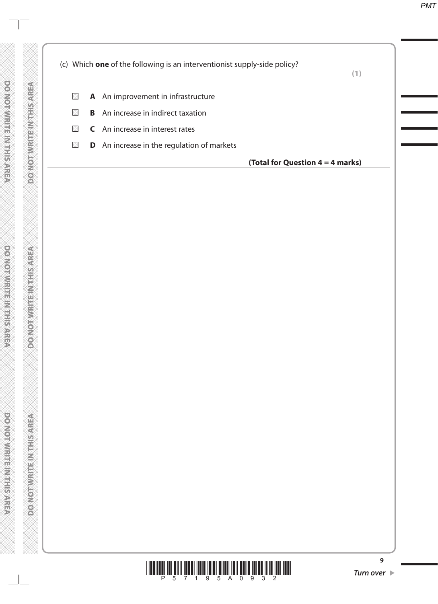

DO NOTVIRITE IN THIS AREA

**DONOTWRITESNEED AT SAFE** 

**DOMOTWIRE(MTHISARE)** 

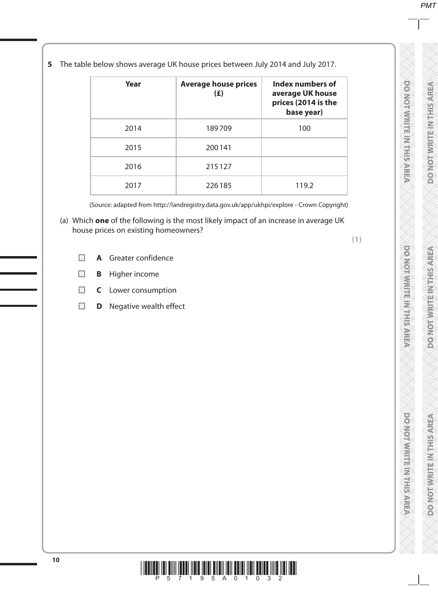*PMT*

**RESINGER PREMIERD ROOM** 

**PONO RUE REGIONAL** 

Ç

please the result of the state state state of the state

*CERT RESIDENT REPAIRING COMPOSITION* 

| Year | <b>Average house prices</b><br>(E) | Index numbers of<br>average UK house<br>prices (2014 is the<br>base year) |
|------|------------------------------------|---------------------------------------------------------------------------|
| 2014 | 189709                             | 100                                                                       |
| 2015 | 200141                             |                                                                           |
| 2016 | 215127                             |                                                                           |
| 2017 | 226185                             | 119.2                                                                     |

**5** The table below shows average UK house prices between July 2014 and July 2017.

(Source: adapted from http://landregistry.data.gov.uk/app/ukhpi/explore - Crown Copyright)

(a) Which **one** of the following is the most likely impact of an increase in average UK house prices on existing homeowners?

**(1)**

- $\boxtimes$ **A** Greater confidence
- $\boxtimes$ **B** Higher income
- $\boxtimes$ **C** Lower consumption
- **D** Negative wealth effect  $\times$

 $\frac{1}{2}$  **10**  $\frac{1}{2}$  **10**  $\frac{1}{2}$  **10**  $\frac{1}{2}$  **10**  $\frac{1}{2}$  **10**  $\frac{1}{2}$  **10**  $\frac{1}{2}$  **10**  $\frac{1}{2}$  **10**  $\frac{1}{2}$  **10**  $\frac{1}{2}$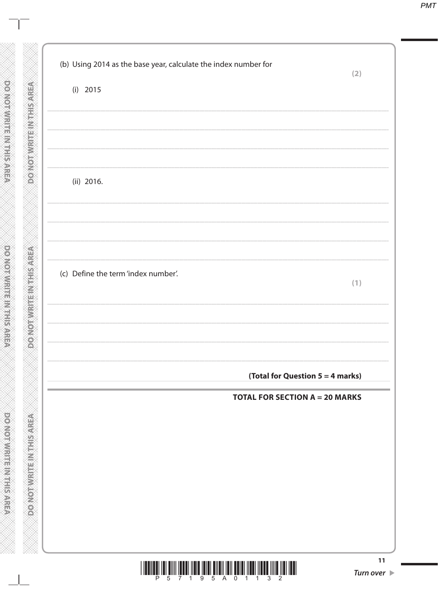| $(i)$ 2015                          | (2)                                   |
|-------------------------------------|---------------------------------------|
|                                     |                                       |
|                                     |                                       |
|                                     |                                       |
| (ii) 2016.                          |                                       |
|                                     |                                       |
|                                     |                                       |
| (c) Define the term 'index number'. | (1)                                   |
|                                     |                                       |
|                                     |                                       |
|                                     | (Total for Question 5 = 4 marks)      |
|                                     | <b>TOTAL FOR SECTION A = 20 MARKS</b> |
|                                     |                                       |
|                                     |                                       |
|                                     |                                       |
|                                     |                                       |
|                                     |                                       |
|                                     |                                       |

 $\mathbb{R}^n$ 

**DO NOT WRITE IN THIS AREA** 

**DO NOT WRITE IN THIS AREA** 

**DO NO WHITE IN THIS AREA**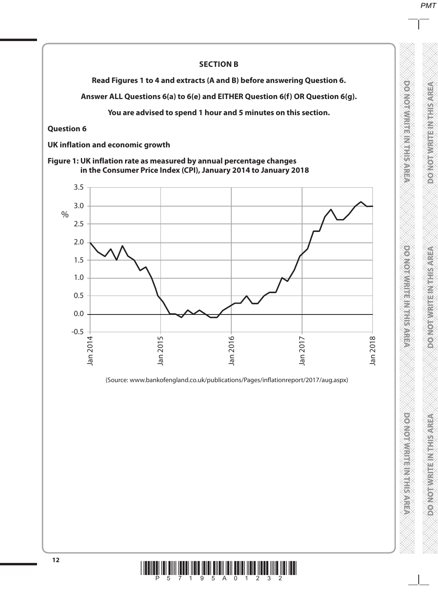**DONOMANTENT REPARTS** 

**100 100 1** 

**WARD START START START** 

**ROX NOTABLE ENTERTAINMENT** 

**RESISSED IN ENGINEERING** 

## **SECTION B**

**Read Figures 1 to 4 and extracts (A and B) before answering Question 6.**

**Answer ALL Questions 6(a) to 6(e) and EITHER Question 6(f) OR Question 6(g).**

**You are advised to spend 1 hour and 5 minutes on this section.**

**Question 6**

**UK inflation and economic growth**

**Figure 1: UK inflation rate as measured by annual percentage changes in the Consumer Price Index (CPI), January 2014 to January 2018** 



(Source: www.bankofengland.co.uk/publications/Pages/inflationreport/2017/aug.aspx)

**DOXIGION CONTRACTOR** 

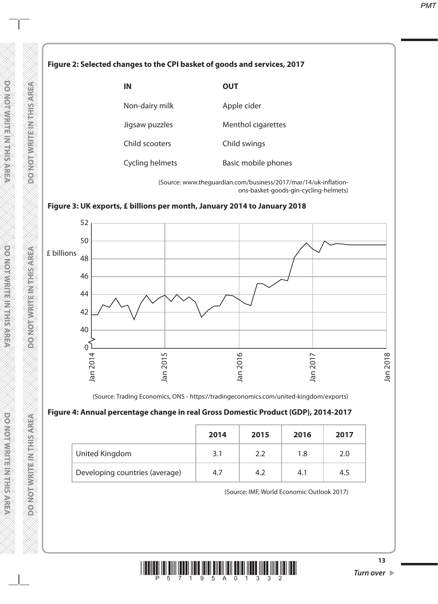# **Figure 2: Selected changes to the CPI basket of goods and services, 2017**

| IN              | <b>OUT</b>          |
|-----------------|---------------------|
| Non-dairy milk  | Apple cider         |
| Jigsaw puzzles  | Menthol cigarettes  |
| Child scooters  | Child swings        |
| Cycling helmets | Basic mobile phones |

(Source: www.theguardian.com/business/2017/mar/14/uk-inflationons-basket-goods-gin-cycling-helmets)

## **Figure 3: UK exports, £ billions per month, January 2014 to January 2018**



(Source: Trading Economics, ONS - https://tradingeconomics.com/united-kingdom/exports)

# **Figure 4: Annual percentage change in real Gross Domestic Product (GDP), 2014-2017**

|                                | 2014 | 2015 | 2016 | 2017 |
|--------------------------------|------|------|------|------|
| United Kingdom                 | 3.1  | 2.2  | 1.8  | 2.0  |
| Developing countries (average) | 4.7  | 4.2  | 4.1  | 4.5  |

(Source: IMF, World Economic Outlook 2017)



**BOXIOTALIA ESTES** 

**DONOTWRITERNESS** 

WRITE IN THIS AREA

**CONCO**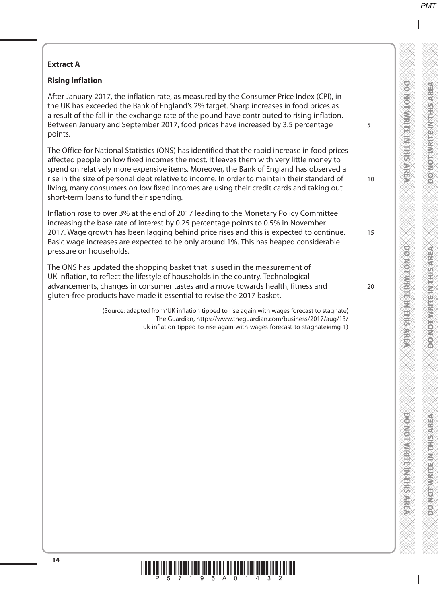### **Extract A**

### **Rising inflation**

After January 2017, the inflation rate, as measured by the Consumer Price Index (CPI), in the UK has exceeded the Bank of England's 2% target. Sharp increases in food prices as a result of the fall in the exchange rate of the pound have contributed to rising inflation. Between January and September 2017, food prices have increased by 3.5 percentage points.

The Office for National Statistics (ONS) has identified that the rapid increase in food prices affected people on low fixed incomes the most. It leaves them with very little money to spend on relatively more expensive items. Moreover, the Bank of England has observed a rise in the size of personal debt relative to income. In order to maintain their standard of living, many consumers on low fixed incomes are using their credit cards and taking out short-term loans to fund their spending.

Inflation rose to over 3% at the end of 2017 leading to the Monetary Policy Committee increasing the base rate of interest by 0.25 percentage points to 0.5% in November 2017. Wage growth has been lagging behind price rises and this is expected to continue. Basic wage increases are expected to be only around 1%. This has heaped considerable pressure on households.

The ONS has updated the shopping basket that is used in the measurement of UK inflation, to reflect the lifestyle of households in the country. Technological advancements, changes in consumer tastes and a move towards health, fitness and gluten-free products have made it essential to revise the 2017 basket.

> (Source: adapted from 'UK inflation tipped to rise again with wages forecast to stagnate', The Guardian, https://www.theguardian.com/business/2017/aug/13/ uk-inflation-tipped-to-rise-again-with-wages-forecast-to-stagnate#img-1)

20

15

5

**DOSNOVNICA BISHING PRESENT** 

**DONONNIAN ESTRADORIO** 

**PORTOR THE HISTORY** 

**PO NOTHER TERMINED OF** 

*PMT*

10

**POSITORY IN EXPERIMENT STATE** 

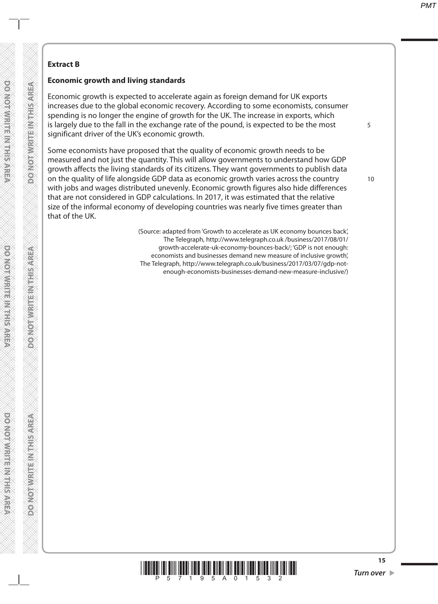5

10

## **Extract B**

## **Economic growth and living standards**

Economic growth is expected to accelerate again as foreign demand for UK exports increases due to the global economic recovery. According to some economists, consumer spending is no longer the engine of growth for the UK. The increase in exports, which is largely due to the fall in the exchange rate of the pound, is expected to be the most significant driver of the UK's economic growth.

Some economists have proposed that the quality of economic growth needs to be measured and not just the quantity. This will allow governments to understand how GDP growth affects the living standards of its citizens. They want governments to publish data on the quality of life alongside GDP data as economic growth varies across the country with jobs and wages distributed unevenly. Economic growth figures also hide differences that are not considered in GDP calculations. In 2017, it was estimated that the relative size of the informal economy of developing countries was nearly five times greater than that of the UK.

> (Source: adapted from 'Growth to accelerate as UK economy bounces back', The Telegraph, http://www.telegraph.co.uk /business/2017/08/01/ growth-accelerate-uk-economy-bounces-back/; 'GDP is not enough: economists and businesses demand new measure of inclusive growth', The Telegraph, http://www.telegraph.co.uk/business/2017/03/07/gdp-notenough-economists-businesses-demand-new-measure-inclusive/)



**DOMORATIVE METAL STREET** 

es<br>Si

Ê

**DONG** 

**ANREW** 

is<br>F

DONNOT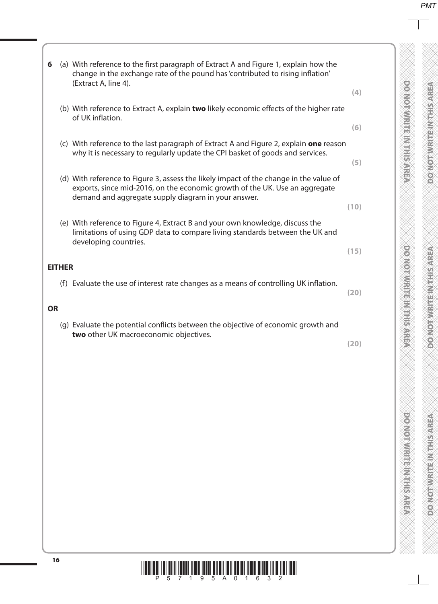**DONOTWRITE IN THIS AREA** 

**DOMOTIVE INTERFERENCE** 

**DO NOT WRITEINTHIS AREA** 

**DOMORWEITENTHIS AREA** 

**DOMOTIVRITE INTHIS AREA** 

**DONOTWRITEINTHSAREA** 

| 6             | (a) With reference to the first paragraph of Extract A and Figure 1, explain how the<br>change in the exchange rate of the pound has 'contributed to rising inflation'<br>(Extract A, line 4).                               |      |
|---------------|------------------------------------------------------------------------------------------------------------------------------------------------------------------------------------------------------------------------------|------|
|               |                                                                                                                                                                                                                              | (4)  |
|               | (b) With reference to Extract A, explain two likely economic effects of the higher rate<br>of UK inflation.                                                                                                                  |      |
|               |                                                                                                                                                                                                                              | (6)  |
|               | (c) With reference to the last paragraph of Extract A and Figure 2, explain <b>one</b> reason<br>why it is necessary to regularly update the CPI basket of goods and services.                                               |      |
|               |                                                                                                                                                                                                                              | (5)  |
|               | (d) With reference to Figure 3, assess the likely impact of the change in the value of<br>exports, since mid-2016, on the economic growth of the UK. Use an aggregate<br>demand and aggregate supply diagram in your answer. |      |
|               |                                                                                                                                                                                                                              | (10) |
|               | (e) With reference to Figure 4, Extract B and your own knowledge, discuss the<br>limitations of using GDP data to compare living standards between the UK and<br>developing countries.                                       |      |
|               |                                                                                                                                                                                                                              | (15) |
| <b>EITHER</b> |                                                                                                                                                                                                                              |      |
|               | (f) Evaluate the use of interest rate changes as a means of controlling UK inflation.                                                                                                                                        | (20) |
| <b>OR</b>     |                                                                                                                                                                                                                              |      |
|               | (g) Evaluate the potential conflicts between the objective of economic growth and<br>two other UK macroeconomic objectives.                                                                                                  | (20) |

**(20)**

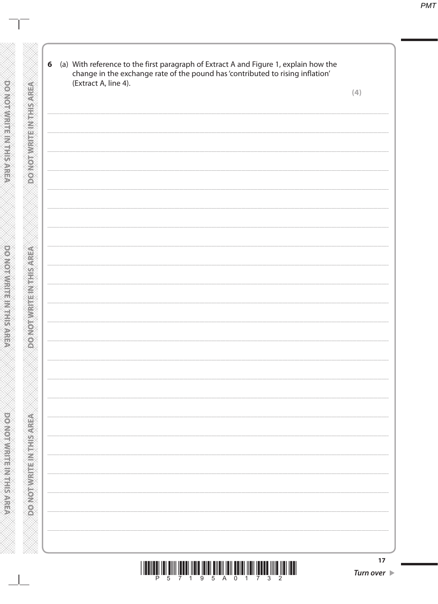| (Extract A, line 4). | change in the exchange rate of the pound has 'contributed to rising inflation' |     |
|----------------------|--------------------------------------------------------------------------------|-----|
|                      |                                                                                | (4) |
|                      |                                                                                |     |
|                      |                                                                                |     |
|                      |                                                                                |     |
|                      |                                                                                |     |
|                      |                                                                                |     |
|                      |                                                                                |     |
|                      |                                                                                |     |
|                      |                                                                                |     |
|                      |                                                                                |     |
|                      |                                                                                |     |
|                      |                                                                                |     |
|                      |                                                                                |     |
|                      |                                                                                |     |
|                      |                                                                                |     |
|                      |                                                                                |     |
|                      |                                                                                |     |
|                      |                                                                                |     |
|                      |                                                                                |     |
|                      |                                                                                |     |
|                      |                                                                                |     |
|                      |                                                                                |     |
|                      |                                                                                |     |

DO NOT WRITE IN THIS AREA

**DOOMORUTE MUTHING AREA** 

**POWOTWRITEINING**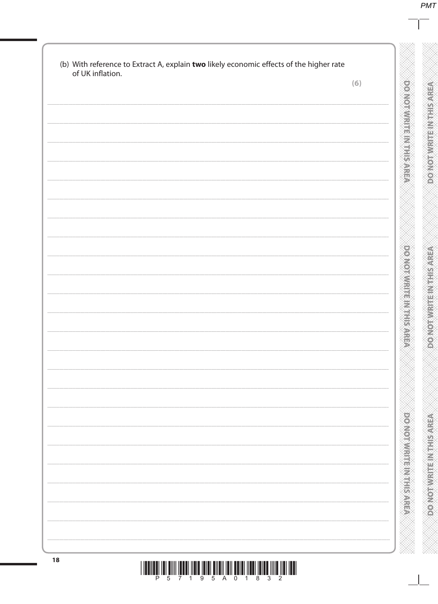| of UK inflation. | (6) |                               |
|------------------|-----|-------------------------------|
|                  |     |                               |
|                  |     |                               |
|                  |     |                               |
|                  |     |                               |
|                  |     |                               |
|                  |     | m,                            |
|                  |     |                               |
|                  |     |                               |
|                  |     |                               |
|                  |     |                               |
|                  |     |                               |
|                  |     |                               |
|                  |     | C.<br>C. R. C.                |
|                  |     |                               |
|                  |     |                               |
|                  |     |                               |
|                  |     |                               |
|                  |     |                               |
|                  |     |                               |
|                  |     |                               |
|                  |     |                               |
|                  |     | <b>SCALE AND ALL PROPERTY</b> |
|                  |     |                               |
|                  |     |                               |
|                  |     |                               |
|                  |     | 美好的                           |
|                  |     |                               |
|                  |     |                               |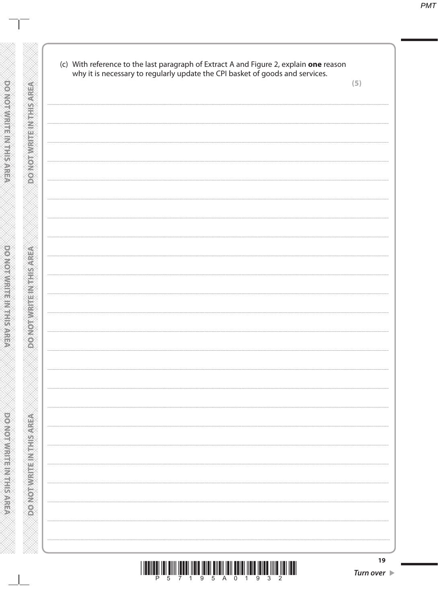|          | why it is necessary to regularly update the CPI basket of goods and services. | (5) |
|----------|-------------------------------------------------------------------------------|-----|
|          |                                                                               |     |
|          |                                                                               |     |
|          |                                                                               |     |
|          |                                                                               |     |
| $\cdots$ |                                                                               |     |
|          |                                                                               |     |
|          |                                                                               |     |
|          |                                                                               |     |
|          |                                                                               |     |
|          |                                                                               |     |
|          |                                                                               |     |
|          |                                                                               |     |
|          |                                                                               |     |
|          |                                                                               |     |
|          |                                                                               |     |
|          |                                                                               |     |
|          |                                                                               |     |
|          |                                                                               |     |
|          |                                                                               |     |
|          |                                                                               |     |
|          |                                                                               |     |
|          |                                                                               |     |
|          |                                                                               |     |
|          |                                                                               |     |
|          |                                                                               |     |
|          |                                                                               |     |
|          |                                                                               |     |
|          |                                                                               |     |
|          |                                                                               |     |
|          |                                                                               |     |
|          |                                                                               |     |
|          |                                                                               |     |
|          |                                                                               |     |
|          |                                                                               |     |
|          |                                                                               |     |

 $\mathbb{R}^n$ 

OOKOTAMISEIMININ SARER

DO NOT WRITE IN THIS AREA

**DO NOT WRITEINIER AREA**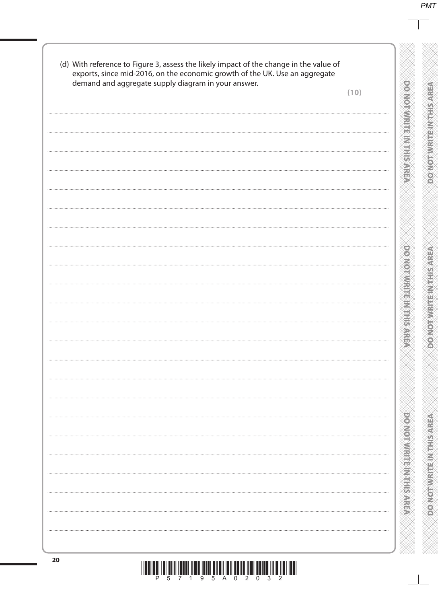| demand and aggregate supply diagram in your answer. | (10) | <b>STERNE ENGINEER</b><br>C.<br>City  | g                                    |
|-----------------------------------------------------|------|---------------------------------------|--------------------------------------|
|                                                     |      | <b>DOSTRANE METALORISCO</b>           |                                      |
|                                                     |      | <b>Provident in the manufacturers</b> | <b>THISRAPH</b><br><b>DOMORATION</b> |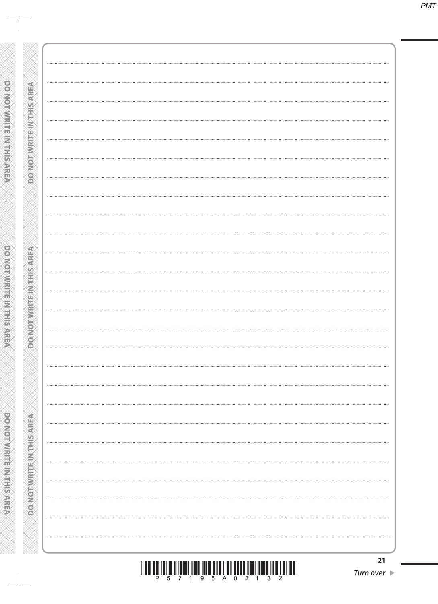| á | <b>ANG ANG</b><br>Ŵ<br>ē |
|---|--------------------------|
|   |                          |
|   |                          |
|   |                          |

 $\mathbb{R}$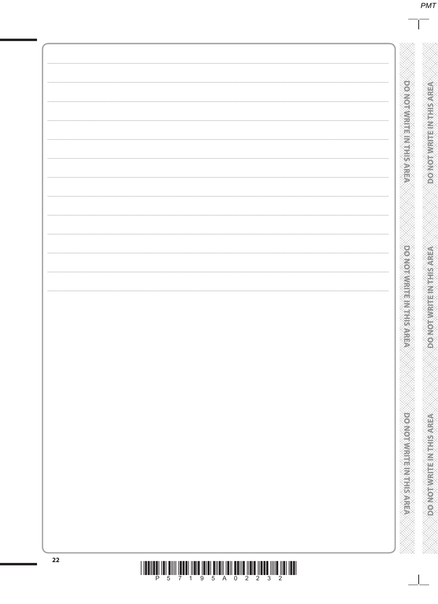|  | <b>DOSTOROMIC TEST STEEPS AREA</b><br><b>DOMORATION</b> THREE CARDS  |
|--|----------------------------------------------------------------------|
|  | <b>PLANE SENSIONS</b><br><b>MERING HOMES REPORTS</b>                 |
|  |                                                                      |
|  | <b>DOMORATIVE REPAIRS AND</b><br><b>RESPASE IN STRUCTS ON COLLOR</b> |
|  |                                                                      |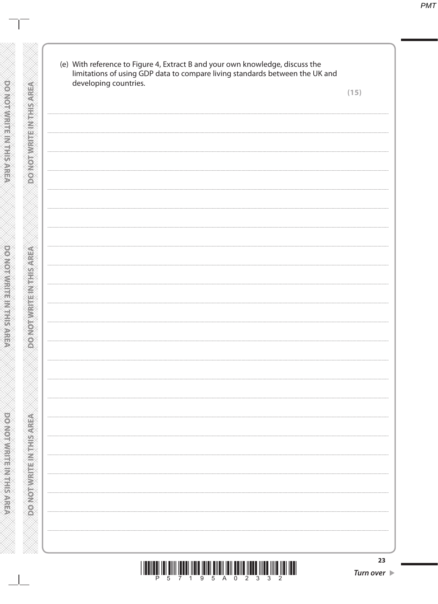| developing countries. | (e) With reference to Figure 4, Extract B and your own knowledge, discuss the<br>limitations of using GDP data to compare living standards between the UK and |      |
|-----------------------|---------------------------------------------------------------------------------------------------------------------------------------------------------------|------|
|                       |                                                                                                                                                               | (15) |
|                       |                                                                                                                                                               |      |
|                       |                                                                                                                                                               |      |
|                       |                                                                                                                                                               |      |
|                       |                                                                                                                                                               |      |
|                       |                                                                                                                                                               |      |
|                       |                                                                                                                                                               |      |
|                       |                                                                                                                                                               |      |
|                       |                                                                                                                                                               |      |
|                       |                                                                                                                                                               |      |
|                       |                                                                                                                                                               |      |
|                       |                                                                                                                                                               |      |
|                       |                                                                                                                                                               |      |
|                       |                                                                                                                                                               |      |
|                       |                                                                                                                                                               |      |
|                       |                                                                                                                                                               |      |
|                       |                                                                                                                                                               |      |
|                       |                                                                                                                                                               |      |
|                       |                                                                                                                                                               |      |
|                       |                                                                                                                                                               |      |

**DO NOT WRITE IN THIS AREA** 

**DOOMORAHEMENTSKER** 

**DOOMRIGEMARISMS**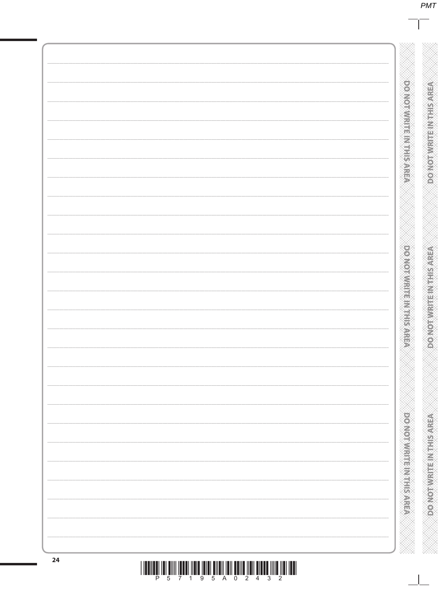| J      |        |
|--------|--------|
| j      |        |
|        |        |
|        |        |
|        | ý      |
|        |        |
|        | Ŵ      |
|        | a      |
|        |        |
|        |        |
|        |        |
|        |        |
|        |        |
| Ì      | û)     |
|        |        |
|        |        |
|        |        |
|        |        |
|        |        |
|        |        |
| Ú)     |        |
|        | ï      |
|        |        |
| J      |        |
| m      | ×      |
|        |        |
|        | Ĺ<br>١ |
|        |        |
|        |        |
|        |        |
|        |        |
|        |        |
|        |        |
|        |        |
|        |        |
|        |        |
|        |        |
|        |        |
|        |        |
|        |        |
|        |        |
|        |        |
|        |        |
| 1      |        |
|        | Š      |
|        |        |
|        |        |
|        |        |
|        |        |
|        | Ù.     |
|        |        |
|        |        |
|        | 'n     |
|        |        |
|        |        |
|        |        |
| ĤÌ     | Ù)     |
|        | 1      |
|        |        |
|        |        |
|        |        |
|        |        |
|        |        |
| ₫      |        |
|        |        |
| Ŭ٨     |        |
|        |        |
|        |        |
| j      |        |
| ņ,     |        |
| S      |        |
| ו      |        |
|        |        |
|        |        |
|        |        |
|        |        |
|        |        |
|        |        |
|        |        |
|        |        |
|        |        |
|        |        |
|        |        |
|        |        |
|        |        |
|        |        |
|        |        |
|        |        |
|        |        |
| t      |        |
|        |        |
|        |        |
|        |        |
|        | É      |
|        |        |
|        | δ      |
|        |        |
|        |        |
|        | ţ      |
| ě      |        |
|        |        |
| Ħ      |        |
|        | Ŵ      |
|        | F      |
| 國<br>ý |        |
|        |        |
| ≚<br>k |        |
| ۳      |        |
|        |        |
|        |        |
|        |        |
|        |        |
|        |        |
|        |        |
|        |        |
| I,     |        |
|        |        |
|        |        |
|        |        |
|        |        |
|        |        |

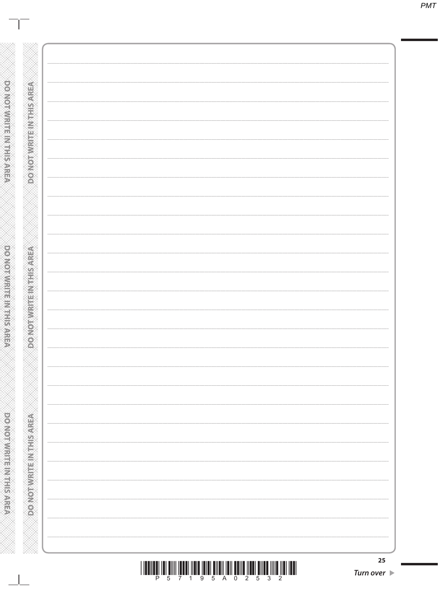| Ś    | <b>ANGER SE</b><br>m<br>Maria<br>Ō |
|------|------------------------------------|
| <br> |                                    |
|      |                                    |
|      |                                    |

 $\mathbb{R}$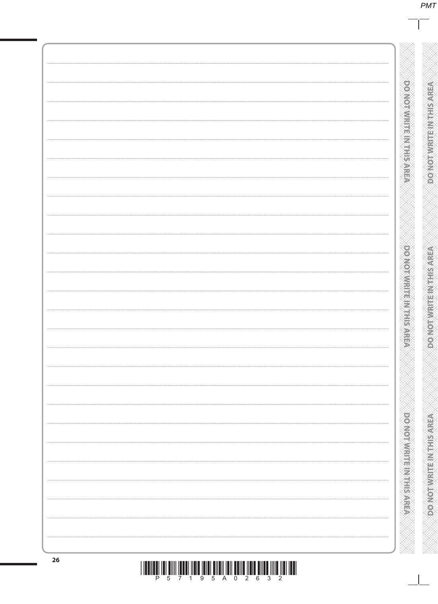| Ô           | É         |
|-------------|-----------|
| Ō           |           |
|             |           |
| s           | Œ         |
|             | ä<br>è    |
|             |           |
|             | Ŵ         |
| ⊻           | ्<br>क्   |
|             | ¥         |
| ĭе          | Н         |
| ÷<br>J      |           |
|             | é         |
|             |           |
| m           | řĭ        |
|             |           |
| Ž           |           |
|             |           |
|             |           |
| e<br>Z      |           |
|             |           |
| ¥<br>×      | į         |
| জ           |           |
|             |           |
| P           |           |
| É           |           |
| m           |           |
|             |           |
| F           | C         |
|             |           |
|             |           |
|             |           |
|             |           |
|             |           |
|             |           |
|             |           |
|             |           |
|             |           |
|             |           |
|             |           |
|             |           |
|             |           |
|             |           |
|             |           |
|             |           |
|             |           |
| Ò           | €         |
|             | ÊЙ        |
|             | άč        |
|             |           |
|             |           |
|             | Ù.        |
|             |           |
| è           |           |
| ¥           |           |
| è<br>ĵ      | è         |
|             | Ş         |
|             |           |
| 盪           | û         |
|             |           |
|             |           |
|             |           |
| ê           | ŧ         |
|             | ò         |
| j<br>ĝ      |           |
| 蚤           |           |
|             |           |
| ŬŃ,         |           |
|             | Ì         |
|             |           |
|             |           |
|             | $\bullet$ |
| ¥           | č         |
|             |           |
|             |           |
|             |           |
|             |           |
|             |           |
|             |           |
|             |           |
|             |           |
|             |           |
|             |           |
|             |           |
|             |           |
|             |           |
|             |           |
|             |           |
|             |           |
|             |           |
|             |           |
|             |           |
|             |           |
|             |           |
| <b>DOOR</b> |           |
|             | 籆         |
| Ó<br>÷      | Ø         |
|             |           |
| ▨           |           |
|             | ĺ         |
|             |           |
|             |           |
|             |           |
|             |           |
|             |           |
|             | é         |
|             | Ä         |
|             |           |
|             |           |
|             | Ź         |
|             |           |
|             |           |
|             |           |
| )<br>R      |           |
|             |           |
|             | Č         |
| Ţ           |           |
|             |           |
|             |           |
|             |           |
|             |           |
|             |           |

| <u> III AN AN INI ANI NA TAONI ANG ANG INI ANG KABILAN NA BILA NA INI AN</u> |  |  |  |  |                         |  |  |
|------------------------------------------------------------------------------|--|--|--|--|-------------------------|--|--|
|                                                                              |  |  |  |  | P 5 7 1 9 5 A 0 2 6 3 2 |  |  |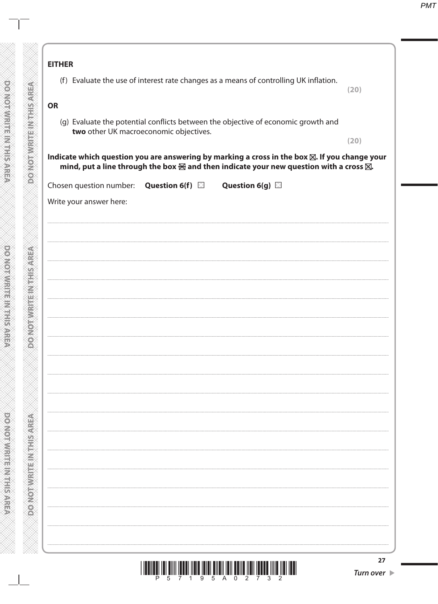| (f) Evaluate the use of interest rate changes as a means of controlling UK inflation.                                                                                                                                   |      |
|-------------------------------------------------------------------------------------------------------------------------------------------------------------------------------------------------------------------------|------|
|                                                                                                                                                                                                                         | (20) |
| <b>OR</b>                                                                                                                                                                                                               |      |
| (g) Evaluate the potential conflicts between the objective of economic growth and<br>two other UK macroeconomic objectives.                                                                                             |      |
|                                                                                                                                                                                                                         | (20) |
| Indicate which question you are answering by marking a cross in the box $\boxtimes$ . If you change your<br>mind, put a line through the box $\boxtimes$ and then indicate your new question with a cross $\boxtimes$ . |      |
| Chosen question number: <b>Question 6(f)</b> $\boxtimes$ <b>Question 6(g)</b> $\boxtimes$                                                                                                                               |      |
| Write your answer here:                                                                                                                                                                                                 |      |
|                                                                                                                                                                                                                         |      |
|                                                                                                                                                                                                                         |      |
|                                                                                                                                                                                                                         |      |
|                                                                                                                                                                                                                         |      |
|                                                                                                                                                                                                                         |      |
|                                                                                                                                                                                                                         |      |
|                                                                                                                                                                                                                         |      |
|                                                                                                                                                                                                                         |      |
|                                                                                                                                                                                                                         |      |
|                                                                                                                                                                                                                         |      |
|                                                                                                                                                                                                                         |      |
|                                                                                                                                                                                                                         |      |
|                                                                                                                                                                                                                         |      |
|                                                                                                                                                                                                                         |      |
|                                                                                                                                                                                                                         |      |
|                                                                                                                                                                                                                         |      |
|                                                                                                                                                                                                                         |      |
|                                                                                                                                                                                                                         |      |
|                                                                                                                                                                                                                         |      |
|                                                                                                                                                                                                                         |      |
|                                                                                                                                                                                                                         |      |
|                                                                                                                                                                                                                         |      |
|                                                                                                                                                                                                                         |      |

**DONOIMENTE IN ARREST** 

**PONORMETHE METAL STATE** 

poworwratewww.exac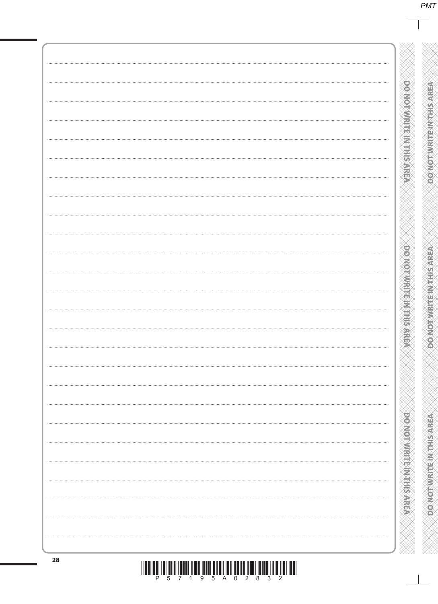|   |               | ਵ      |
|---|---------------|--------|
|   |               | 凾      |
|   |               | õ      |
|   |               |        |
|   |               | đ<br>ĕ |
|   |               | ٨      |
|   |               |        |
|   |               | é      |
|   |               |        |
|   |               |        |
|   |               |        |
|   |               |        |
|   | Гŋ            | ĎĎ     |
|   |               |        |
|   |               |        |
|   |               |        |
|   |               |        |
|   | à,            |        |
|   | Ă             |        |
|   | ť             |        |
|   |               |        |
|   |               |        |
|   |               |        |
|   | ПT            |        |
|   |               |        |
|   |               |        |
|   |               |        |
|   |               |        |
|   |               |        |
|   |               |        |
|   |               |        |
|   |               |        |
|   |               |        |
|   |               |        |
|   |               |        |
|   |               |        |
|   |               |        |
|   |               |        |
|   |               |        |
|   |               |        |
|   |               |        |
|   |               | ۲      |
|   |               | řØ     |
|   |               | bč,    |
|   |               |        |
|   |               |        |
|   |               | Í<br>ā |
|   |               |        |
|   |               |        |
|   |               |        |
|   |               |        |
|   |               |        |
|   |               |        |
|   | ī             | Ď      |
|   |               |        |
|   |               |        |
|   |               |        |
|   |               |        |
|   |               |        |
|   |               |        |
|   |               |        |
|   |               |        |
|   |               |        |
|   |               |        |
|   |               |        |
|   | 1             |        |
|   |               |        |
|   |               |        |
|   |               |        |
|   |               |        |
|   |               |        |
| . |               |        |
|   |               |        |
|   |               |        |
|   |               |        |
|   |               |        |
| . |               |        |
|   |               |        |
|   |               |        |
|   |               |        |
|   |               |        |
|   |               |        |
|   |               |        |
|   | Â             |        |
|   |               |        |
|   |               |        |
|   | ¥             |        |
|   |               |        |
|   |               | h      |
|   |               |        |
|   |               |        |
|   |               |        |
|   |               |        |
|   |               |        |
|   |               |        |
|   |               | X      |
|   | i<br>V        |        |
|   |               |        |
| . |               |        |
|   |               |        |
|   |               |        |
|   | ī             |        |
|   | $\frac{1}{2}$ |        |
|   | ě             |        |
|   |               |        |
|   | 采园            |        |
|   | D,            |        |
|   |               |        |
|   |               |        |
|   |               |        |
|   |               |        |
|   |               |        |

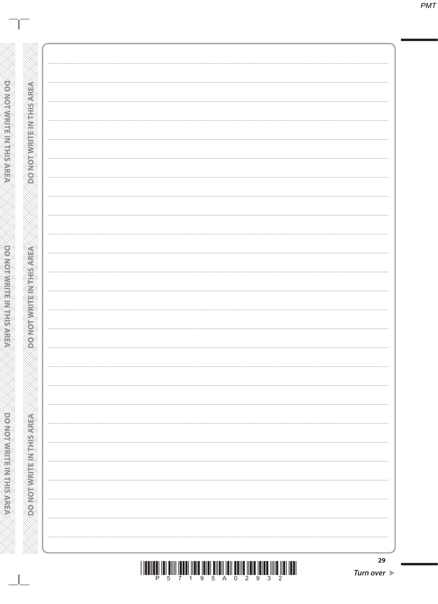| <b>ANG ANG</b><br>Ŵ<br>ē<br>á<br> | proximation in the properties of the | <b>MORWARE MARKET</b> | ៊ី<br><b>DODARD BEAT AND A</b> |
|-----------------------------------|--------------------------------------|-----------------------|--------------------------------|
|                                   |                                      |                       |                                |
|                                   |                                      |                       |                                |
|                                   |                                      |                       |                                |
|                                   |                                      |                       |                                |
|                                   |                                      |                       |                                |
|                                   |                                      |                       |                                |
|                                   |                                      |                       |                                |
|                                   |                                      |                       |                                |

 $\mathbb{R}$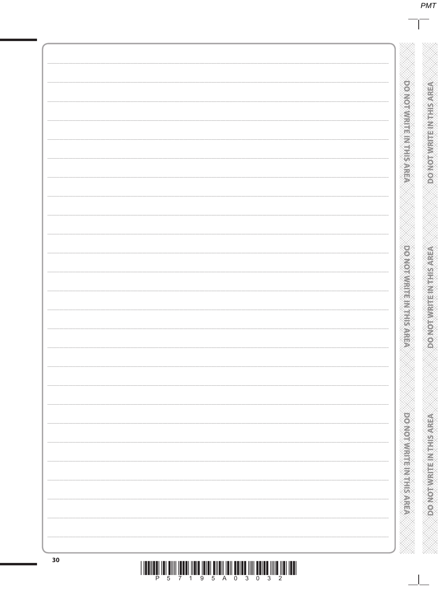|       |                           | ਵ       |
|-------|---------------------------|---------|
|       |                           | 凾       |
|       |                           | œ       |
|       |                           | ä<br>è  |
|       |                           |         |
|       |                           | Ŭ٨      |
|       |                           |         |
|       |                           |         |
|       |                           |         |
|       |                           |         |
|       |                           |         |
|       |                           |         |
|       |                           |         |
|       | π                         | řĎ      |
|       |                           |         |
|       |                           |         |
|       |                           |         |
|       |                           |         |
|       |                           |         |
|       |                           |         |
| .     | I                         |         |
|       |                           |         |
|       |                           |         |
|       |                           |         |
|       |                           |         |
|       |                           |         |
|       |                           |         |
|       |                           |         |
|       |                           |         |
|       |                           |         |
|       |                           |         |
|       |                           |         |
|       |                           |         |
|       |                           |         |
|       |                           |         |
|       |                           |         |
|       |                           |         |
|       |                           |         |
|       |                           |         |
|       |                           |         |
|       |                           |         |
|       |                           |         |
|       |                           |         |
|       |                           |         |
|       |                           |         |
|       |                           |         |
|       |                           | Š       |
|       |                           |         |
|       |                           |         |
|       |                           |         |
|       |                           | Ω       |
|       |                           |         |
|       |                           |         |
|       |                           |         |
|       |                           |         |
|       |                           |         |
|       |                           |         |
|       |                           |         |
|       |                           |         |
|       |                           |         |
|       |                           | щ       |
|       |                           | ₿       |
|       |                           |         |
|       |                           |         |
|       |                           |         |
|       |                           |         |
|       |                           |         |
|       |                           |         |
|       |                           |         |
|       |                           |         |
|       |                           |         |
|       |                           |         |
|       |                           |         |
|       |                           |         |
|       |                           |         |
|       |                           |         |
|       |                           |         |
|       |                           |         |
|       |                           |         |
|       |                           |         |
|       |                           |         |
|       |                           |         |
|       |                           |         |
|       |                           |         |
|       |                           |         |
|       |                           |         |
|       |                           |         |
|       |                           |         |
|       |                           |         |
|       |                           |         |
|       |                           |         |
|       | Ö                         |         |
|       |                           |         |
|       |                           |         |
|       |                           | i<br>Da |
|       |                           | 薋       |
|       |                           |         |
| .     |                           |         |
|       | Ù                         |         |
|       | x                         |         |
|       |                           |         |
|       |                           |         |
|       |                           |         |
|       |                           |         |
|       |                           |         |
|       | (m)<br>(出)<br>×<br>×<br>ń | ä       |
|       |                           | ÖČ.     |
| .<br> |                           |         |
|       |                           | w       |
|       |                           |         |
|       |                           |         |
|       |                           |         |
|       | EISER<br>S                |         |
|       |                           |         |
|       | Œ                         |         |
|       | 巅                         | Õ       |
|       | ď                         | õ       |
| .     |                           |         |
|       |                           |         |
|       |                           |         |
|       |                           |         |
|       |                           |         |
|       |                           |         |

| <u>TERMINI INI BINI INDINI INI KUNI BINI INI BINI BINI INI BINI INI INI NELE</u> |  |                         |  |  |  |  |  |
|----------------------------------------------------------------------------------|--|-------------------------|--|--|--|--|--|
|                                                                                  |  | P 5 7 1 9 5 A 0 3 0 3 2 |  |  |  |  |  |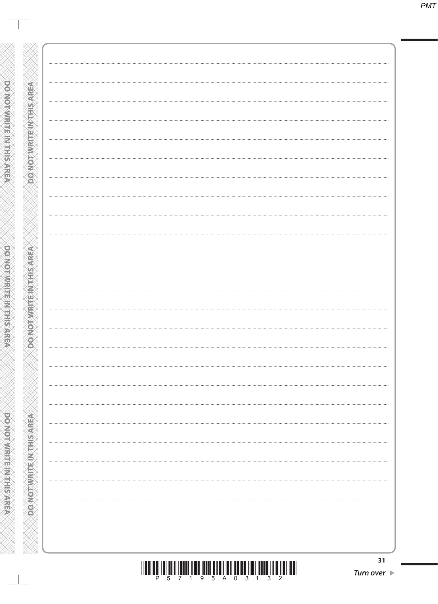| ĹĎ,<br><br><br><br> |   |  |
|---------------------|---|--|
|                     | É |  |
|                     |   |  |
|                     |   |  |
|                     |   |  |
|                     |   |  |
|                     |   |  |
|                     |   |  |
|                     |   |  |

 $\mathbb{R}$